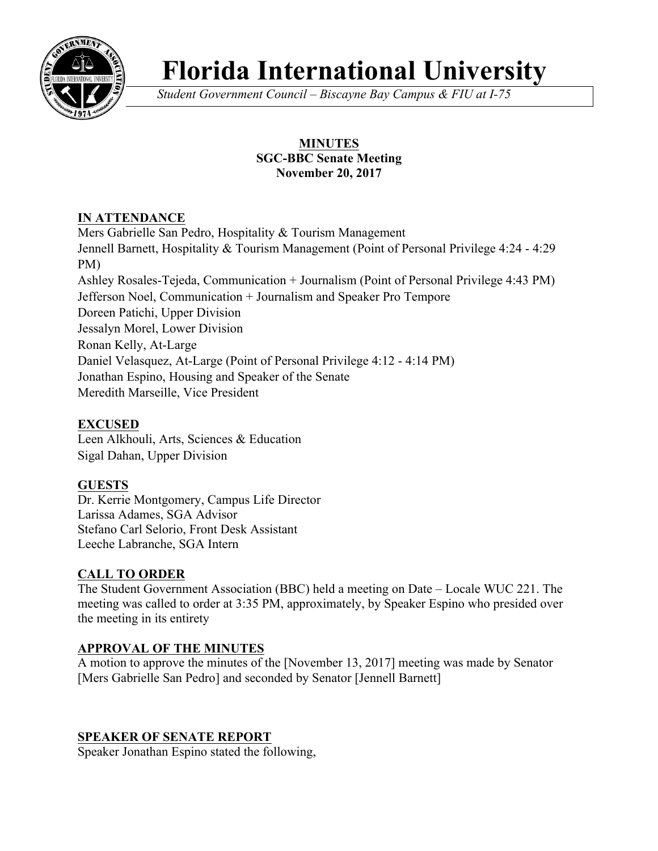

# **Florida International University**

*Student Government Council – Biscayne Bay Campus & FIU at I-75*

## **MINUTES SGC-BBC Senate Meeting November 20, 2017**

# **IN ATTENDANCE**

Mers Gabrielle San Pedro, Hospitality & Tourism Management Jennell Barnett, Hospitality & Tourism Management (Point of Personal Privilege 4:24 - 4:29 PM) Ashley Rosales-Tejeda, Communication + Journalism (Point of Personal Privilege 4:43 PM) Jefferson Noel, Communication + Journalism and Speaker Pro Tempore Doreen Patichi, Upper Division Jessalyn Morel, Lower Division Ronan Kelly, At-Large Daniel Velasquez, At-Large (Point of Personal Privilege 4:12 - 4:14 PM) Jonathan Espino, Housing and Speaker of the Senate Meredith Marseille, Vice President

# **EXCUSED**

Leen Alkhouli, Arts, Sciences & Education Sigal Dahan, Upper Division

# **GUESTS**

Dr. Kerrie Montgomery, Campus Life Director Larissa Adames, SGA Advisor Stefano Carl Selorio, Front Desk Assistant Leeche Labranche, SGA Intern

## **CALL TO ORDER**

The Student Government Association (BBC) held a meeting on Date – Locale WUC 221. The meeting was called to order at 3:35 PM, approximately, by Speaker Espino who presided over the meeting in its entirety

## **APPROVAL OF THE MINUTES**

A motion to approve the minutes of the [November 13, 2017] meeting was made by Senator [Mers Gabrielle San Pedro] and seconded by Senator [Jennell Barnett]

## **SPEAKER OF SENATE REPORT**

Speaker Jonathan Espino stated the following,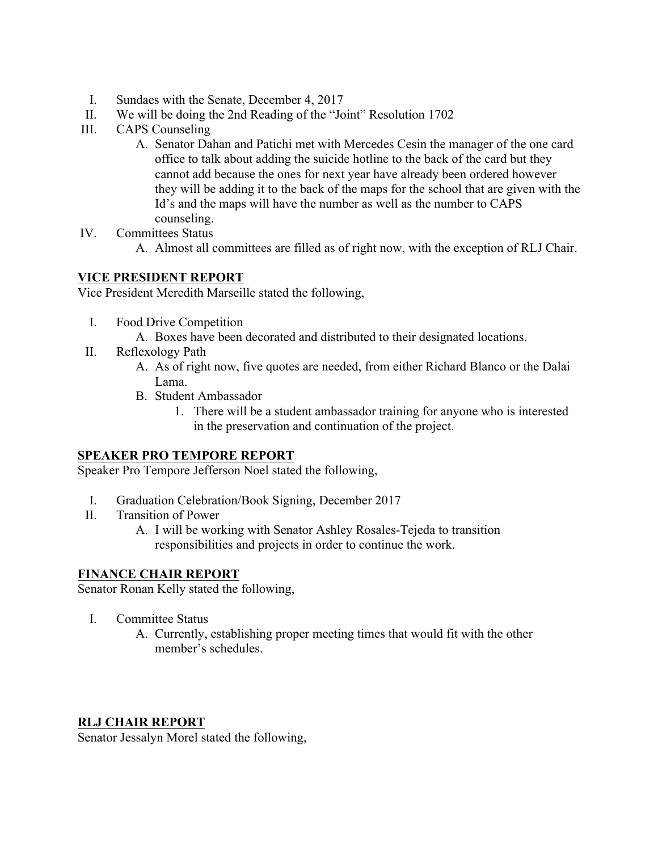- I. Sundaes with the Senate, December 4, 2017
- II. We will be doing the 2nd Reading of the "Joint" Resolution 1702
- III. CAPS Counseling
	- A. Senator Dahan and Patichi met with Mercedes Cesin the manager of the one card office to talk about adding the suicide hotline to the back of the card but they cannot add because the ones for next year have already been ordered however they will be adding it to the back of the maps for the school that are given with the Id's and the maps will have the number as well as the number to CAPS counseling.
- IV. Committees Status
	- A. Almost all committees are filled as of right now, with the exception of RLJ Chair.

#### **VICE PRESIDENT REPORT**

Vice President Meredith Marseille stated the following,

- I. Food Drive Competition
	- A. Boxes have been decorated and distributed to their designated locations.
- II. Reflexology Path
	- A. As of right now, five quotes are needed, from either Richard Blanco or the Dalai Lama.
	- B. Student Ambassador
		- 1. There will be a student ambassador training for anyone who is interested in the preservation and continuation of the project.

#### **SPEAKER PRO TEMPORE REPORT**

Speaker Pro Tempore Jefferson Noel stated the following,

- I. Graduation Celebration/Book Signing, December 2017
- II. Transition of Power
	- A. I will be working with Senator Ashley Rosales-Tejeda to transition responsibilities and projects in order to continue the work.

#### **FINANCE CHAIR REPORT**

Senator Ronan Kelly stated the following,

- I. Committee Status
	- A. Currently, establishing proper meeting times that would fit with the other member's schedules.

#### **RLJ CHAIR REPORT**

Senator Jessalyn Morel stated the following,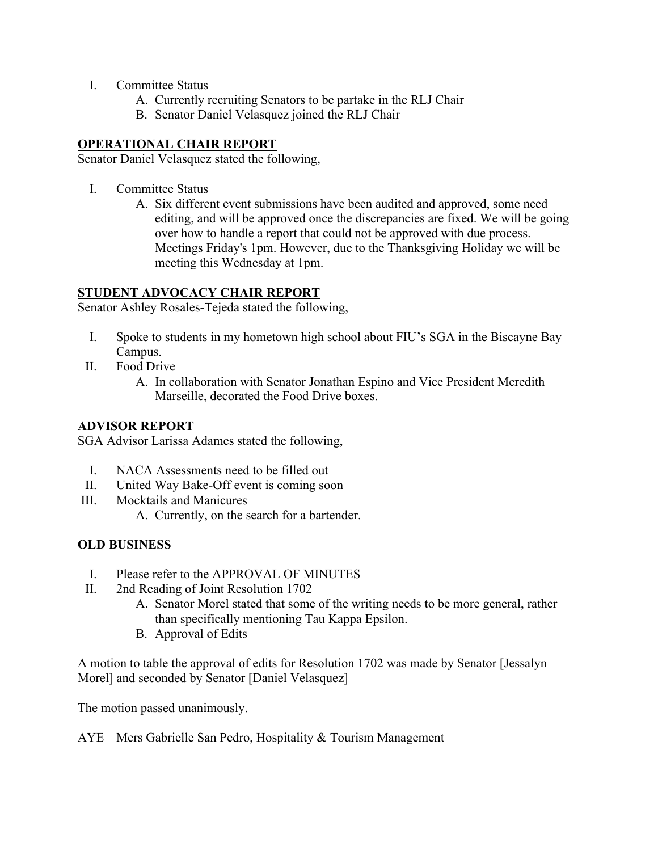- I. Committee Status
	- A. Currently recruiting Senators to be partake in the RLJ Chair
	- B. Senator Daniel Velasquez joined the RLJ Chair

## **OPERATIONAL CHAIR REPORT**

Senator Daniel Velasquez stated the following,

- I. Committee Status
	- A. Six different event submissions have been audited and approved, some need editing, and will be approved once the discrepancies are fixed. We will be going over how to handle a report that could not be approved with due process. Meetings Friday's 1pm. However, due to the Thanksgiving Holiday we will be meeting this Wednesday at 1pm.

## **STUDENT ADVOCACY CHAIR REPORT**

Senator Ashley Rosales-Tejeda stated the following,

- I. Spoke to students in my hometown high school about FIU's SGA in the Biscayne Bay Campus.
- II. Food Drive
	- A. In collaboration with Senator Jonathan Espino and Vice President Meredith Marseille, decorated the Food Drive boxes.

### **ADVISOR REPORT**

SGA Advisor Larissa Adames stated the following,

- I. NACA Assessments need to be filled out
- II. United Way Bake-Off event is coming soon
- III. Mocktails and Manicures
	- A. Currently, on the search for a bartender.

## **OLD BUSINESS**

- I. Please refer to the APPROVAL OF MINUTES
- II. 2nd Reading of Joint Resolution 1702
	- A. Senator Morel stated that some of the writing needs to be more general, rather than specifically mentioning Tau Kappa Epsilon.
	- B. Approval of Edits

A motion to table the approval of edits for Resolution 1702 was made by Senator [Jessalyn Morel] and seconded by Senator [Daniel Velasquez]

The motion passed unanimously.

AYE Mers Gabrielle San Pedro, Hospitality & Tourism Management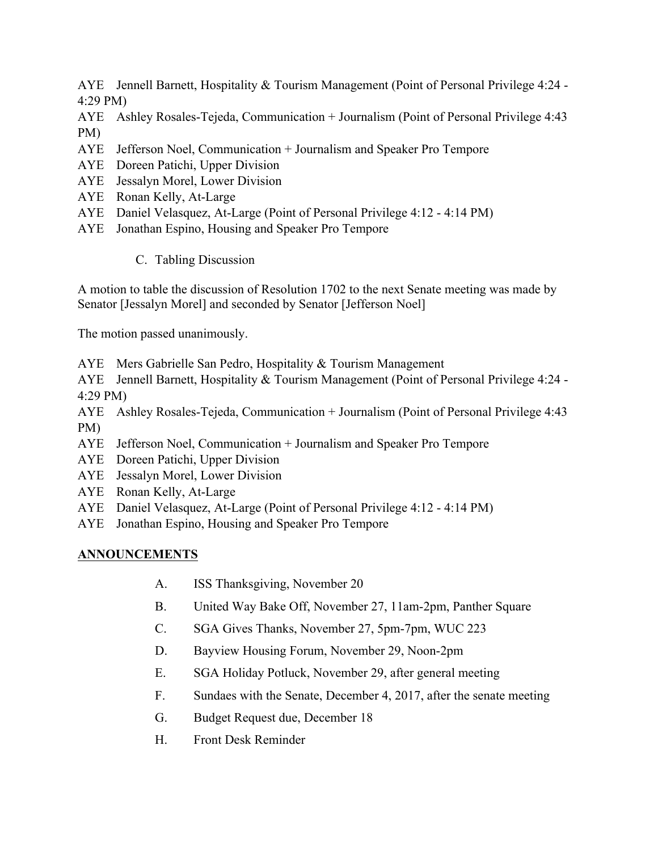AYE Jennell Barnett, Hospitality & Tourism Management (Point of Personal Privilege 4:24 - 4:29 PM)

AYE Ashley Rosales-Tejeda, Communication + Journalism (Point of Personal Privilege 4:43 PM)

- AYE Jefferson Noel, Communication + Journalism and Speaker Pro Tempore
- AYE Doreen Patichi, Upper Division
- AYE Jessalyn Morel, Lower Division
- AYE Ronan Kelly, At-Large
- AYE Daniel Velasquez, At-Large (Point of Personal Privilege 4:12 4:14 PM)
- AYE Jonathan Espino, Housing and Speaker Pro Tempore
	- C. Tabling Discussion

A motion to table the discussion of Resolution 1702 to the next Senate meeting was made by Senator [Jessalyn Morel] and seconded by Senator [Jefferson Noel]

The motion passed unanimously.

AYE Mers Gabrielle San Pedro, Hospitality & Tourism Management

AYE Jennell Barnett, Hospitality & Tourism Management (Point of Personal Privilege 4:24 - 4:29 PM)

AYE Ashley Rosales-Tejeda, Communication + Journalism (Point of Personal Privilege 4:43 PM)

- AYE Jefferson Noel, Communication + Journalism and Speaker Pro Tempore
- AYE Doreen Patichi, Upper Division
- AYE Jessalyn Morel, Lower Division
- AYE Ronan Kelly, At-Large
- AYE Daniel Velasquez, At-Large (Point of Personal Privilege 4:12 4:14 PM)
- AYE Jonathan Espino, Housing and Speaker Pro Tempore

# **ANNOUNCEMENTS**

- A. ISS Thanksgiving, November 20
- B. United Way Bake Off, November 27, 11am-2pm, Panther Square
- C. SGA Gives Thanks, November 27, 5pm-7pm, WUC 223
- D. Bayview Housing Forum, November 29, Noon-2pm
- E. SGA Holiday Potluck, November 29, after general meeting
- F. Sundaes with the Senate, December 4, 2017, after the senate meeting
- G. Budget Request due, December 18
- H. Front Desk Reminder